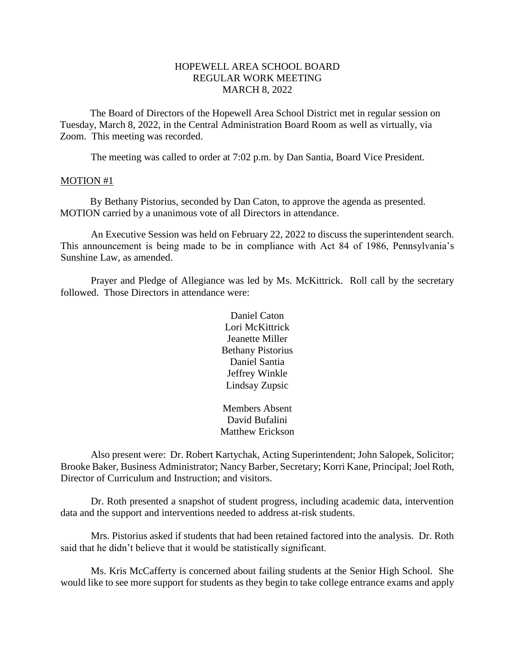### HOPEWELL AREA SCHOOL BOARD REGULAR WORK MEETING MARCH 8, 2022

The Board of Directors of the Hopewell Area School District met in regular session on Tuesday, March 8, 2022, in the Central Administration Board Room as well as virtually, via Zoom. This meeting was recorded.

The meeting was called to order at 7:02 p.m. by Dan Santia, Board Vice President.

#### MOTION #1

By Bethany Pistorius, seconded by Dan Caton, to approve the agenda as presented. MOTION carried by a unanimous vote of all Directors in attendance.

An Executive Session was held on February 22, 2022 to discuss the superintendent search. This announcement is being made to be in compliance with Act 84 of 1986, Pennsylvania's Sunshine Law, as amended.

Prayer and Pledge of Allegiance was led by Ms. McKittrick. Roll call by the secretary followed. Those Directors in attendance were:

> Daniel Caton Lori McKittrick Jeanette Miller Bethany Pistorius Daniel Santia Jeffrey Winkle Lindsay Zupsic

Members Absent David Bufalini Matthew Erickson

Also present were: Dr. Robert Kartychak, Acting Superintendent; John Salopek, Solicitor; Brooke Baker, Business Administrator; Nancy Barber, Secretary; Korri Kane, Principal; Joel Roth, Director of Curriculum and Instruction; and visitors.

Dr. Roth presented a snapshot of student progress, including academic data, intervention data and the support and interventions needed to address at-risk students.

Mrs. Pistorius asked if students that had been retained factored into the analysis. Dr. Roth said that he didn't believe that it would be statistically significant.

Ms. Kris McCafferty is concerned about failing students at the Senior High School. She would like to see more support for students as they begin to take college entrance exams and apply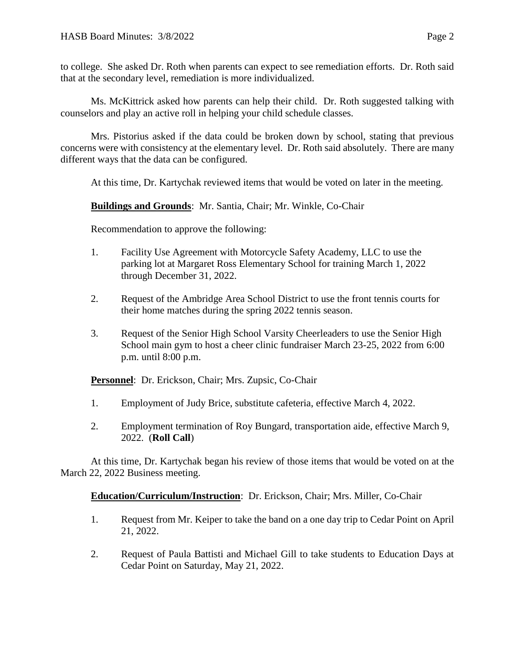to college. She asked Dr. Roth when parents can expect to see remediation efforts. Dr. Roth said that at the secondary level, remediation is more individualized.

Ms. McKittrick asked how parents can help their child. Dr. Roth suggested talking with counselors and play an active roll in helping your child schedule classes.

Mrs. Pistorius asked if the data could be broken down by school, stating that previous concerns were with consistency at the elementary level. Dr. Roth said absolutely. There are many different ways that the data can be configured.

At this time, Dr. Kartychak reviewed items that would be voted on later in the meeting.

## **Buildings and Grounds**: Mr. Santia, Chair; Mr. Winkle, Co-Chair

Recommendation to approve the following:

- 1. Facility Use Agreement with Motorcycle Safety Academy, LLC to use the parking lot at Margaret Ross Elementary School for training March 1, 2022 through December 31, 2022.
- 2. Request of the Ambridge Area School District to use the front tennis courts for their home matches during the spring 2022 tennis season.
- 3. Request of the Senior High School Varsity Cheerleaders to use the Senior High School main gym to host a cheer clinic fundraiser March 23-25, 2022 from 6:00 p.m. until 8:00 p.m.

**Personnel**: Dr. Erickson, Chair; Mrs. Zupsic, Co-Chair

- 1. Employment of Judy Brice, substitute cafeteria, effective March 4, 2022.
- 2. Employment termination of Roy Bungard, transportation aide, effective March 9, 2022. (**Roll Call**)

At this time, Dr. Kartychak began his review of those items that would be voted on at the March 22, 2022 Business meeting.

### **Education/Curriculum/Instruction**: Dr. Erickson, Chair; Mrs. Miller, Co-Chair

- 1. Request from Mr. Keiper to take the band on a one day trip to Cedar Point on April 21, 2022.
- 2. Request of Paula Battisti and Michael Gill to take students to Education Days at Cedar Point on Saturday, May 21, 2022.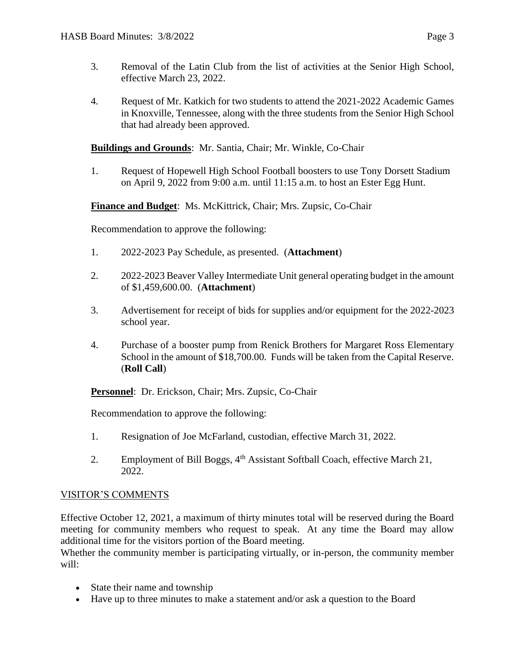- 3. Removal of the Latin Club from the list of activities at the Senior High School, effective March 23, 2022.
- 4. Request of Mr. Katkich for two students to attend the 2021-2022 Academic Games in Knoxville, Tennessee, along with the three students from the Senior High School that had already been approved.

## **Buildings and Grounds**: Mr. Santia, Chair; Mr. Winkle, Co-Chair

1. Request of Hopewell High School Football boosters to use Tony Dorsett Stadium on April 9, 2022 from 9:00 a.m. until 11:15 a.m. to host an Ester Egg Hunt.

# **Finance and Budget**: Ms. McKittrick, Chair; Mrs. Zupsic, Co-Chair

Recommendation to approve the following:

- 1. 2022-2023 Pay Schedule, as presented. (**Attachment**)
- 2. 2022-2023 Beaver Valley Intermediate Unit general operating budget in the amount of \$1,459,600.00. (**Attachment**)
- 3. Advertisement for receipt of bids for supplies and/or equipment for the 2022-2023 school year.
- 4. Purchase of a booster pump from Renick Brothers for Margaret Ross Elementary School in the amount of \$18,700.00. Funds will be taken from the Capital Reserve. (**Roll Call**)

**Personnel**: Dr. Erickson, Chair; Mrs. Zupsic, Co-Chair

Recommendation to approve the following:

- 1. Resignation of Joe McFarland, custodian, effective March 31, 2022.
- 2. Employment of Bill Boggs, 4<sup>th</sup> Assistant Softball Coach, effective March 21, 2022.

### VISITOR'S COMMENTS

Effective October 12, 2021, a maximum of thirty minutes total will be reserved during the Board meeting for community members who request to speak. At any time the Board may allow additional time for the visitors portion of the Board meeting.

Whether the community member is participating virtually, or in-person, the community member will:

- State their name and township
- Have up to three minutes to make a statement and/or ask a question to the Board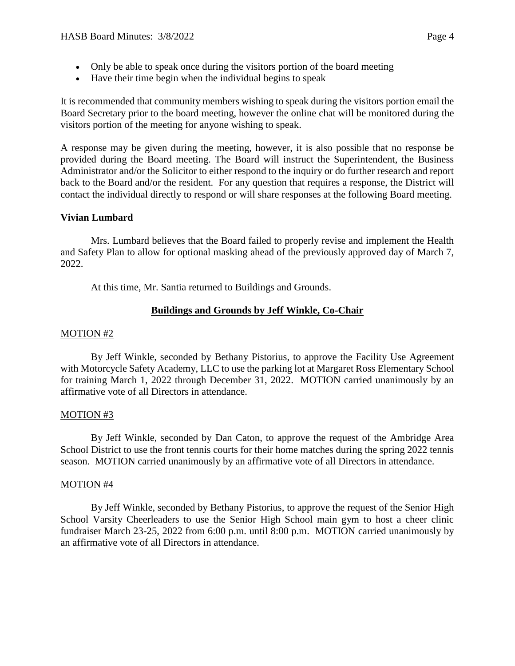- Only be able to speak once during the visitors portion of the board meeting
- Have their time begin when the individual begins to speak

It is recommended that community members wishing to speak during the visitors portion email the Board Secretary prior to the board meeting, however the online chat will be monitored during the visitors portion of the meeting for anyone wishing to speak.

A response may be given during the meeting, however, it is also possible that no response be provided during the Board meeting. The Board will instruct the Superintendent, the Business Administrator and/or the Solicitor to either respond to the inquiry or do further research and report back to the Board and/or the resident. For any question that requires a response, the District will contact the individual directly to respond or will share responses at the following Board meeting.

# **Vivian Lumbard**

Mrs. Lumbard believes that the Board failed to properly revise and implement the Health and Safety Plan to allow for optional masking ahead of the previously approved day of March 7, 2022.

At this time, Mr. Santia returned to Buildings and Grounds.

# **Buildings and Grounds by Jeff Winkle, Co-Chair**

# MOTION #2

By Jeff Winkle, seconded by Bethany Pistorius, to approve the Facility Use Agreement with Motorcycle Safety Academy, LLC to use the parking lot at Margaret Ross Elementary School for training March 1, 2022 through December 31, 2022. MOTION carried unanimously by an affirmative vote of all Directors in attendance.

# MOTION #3

By Jeff Winkle, seconded by Dan Caton, to approve the request of the Ambridge Area School District to use the front tennis courts for their home matches during the spring 2022 tennis season. MOTION carried unanimously by an affirmative vote of all Directors in attendance.

# MOTION #4

By Jeff Winkle, seconded by Bethany Pistorius, to approve the request of the Senior High School Varsity Cheerleaders to use the Senior High School main gym to host a cheer clinic fundraiser March 23-25, 2022 from 6:00 p.m. until 8:00 p.m. MOTION carried unanimously by an affirmative vote of all Directors in attendance.